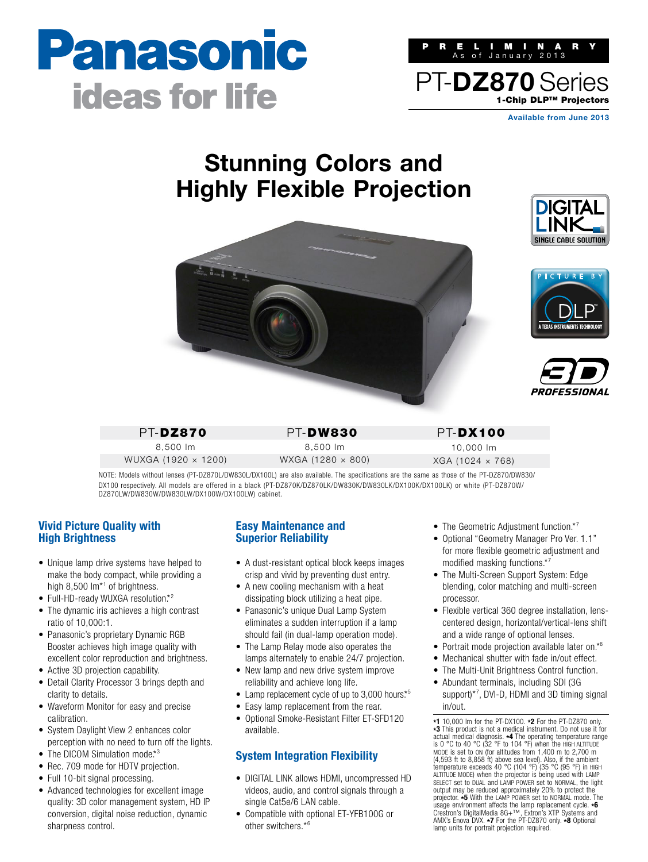# Panasonic **ideas for life**



**Available from June 2013**

## **Stunning Colors and Highly Flexible Projection**



PT-DZ870 8,500 lm WUXGA (1920 × 1200) PT-DW830 8,500 lm

WXGA (1280 × 800)

PT-DX100 10,000 lm XGA (1024 × 768)

NOTE: Models without lenses (PT-DZ870L/DW830L/DX100L) are also available. The specifications are the same as those of the PT-DZ870/DW830/ DX100 respectively. All models are offered in a black (PT-DZ870K/DZ870LK/DW830K/DW830LK/DX100K/DX100LK) or white (PT-DZ870W/ DZ870LW/DW830W/DW830LW/DX100W/DX100LW) cabinet.

### **Vivid Picture Quality with High Brightness**

- Unique lamp drive systems have helped to make the body compact, while providing a high 8,500 lm<sup>\*1</sup> of brightness.
- Full-HD-ready WUXGA resolution.\*<sup>2</sup>
- The dynamic iris achieves a high contrast ratio of 10,000:1.
- Panasonic's proprietary Dynamic RGB Booster achieves high image quality with excellent color reproduction and brightness.
- Active 3D projection capability.
- Detail Clarity Processor 3 brings depth and clarity to details.
- Waveform Monitor for easy and precise calibration.
- System Daylight View 2 enhances color perception with no need to turn off the lights.
- $\bullet$  The DICOM Simulation mode.\*3
- Rec. 709 mode for HDTV projection.
- Full 10-bit signal processing.
- Advanced technologies for excellent image quality: 3D color management system, HD IP conversion, digital noise reduction, dynamic sharpness control.

#### **Easy Maintenance and Superior Reliability**

- A dust-resistant optical block keeps images crisp and vivid by preventing dust entry.
- $\bullet$  A new cooling mechanism with a heat dissipating block utilizing a heat pipe.
- Panasonic's unique Dual Lamp System eliminates a sudden interruption if a lamp should fail (in dual-lamp operation mode).
- The Lamp Relay mode also operates the lamps alternately to enable 24/7 projection.
- New lamp and new drive system improve reliability and achieve long life.
- $\bullet$  Lamp replacement cycle of up to 3,000 hours.\*5
- Easy lamp replacement from the rear.
- Optional Smoke-Resistant Filter ET-SFD120 available.

## **System Integration Flexibility**

- DIGITAL LINK allows HDMI, uncompressed HD videos, audio, and control signals through a single Cat5e/6 LAN cable.
- s Compatible with optional ET-YFB100G or other switchers.\*6
- $\bullet$  The Geometric Adjustment function.\*7
- Optional "Geometry Manager Pro Ver. 1.1" for more flexible geometric adjustment and modified masking functions.\*7
- The Multi-Screen Support System: Edge blending, color matching and multi-screen processor.
- Flexible vertical 360 degree installation, lenscentered design, horizontal/vertical-lens shift and a wide range of optional lenses.
- Portrait mode projection available later on. $*$ <sup>8</sup>
- Mechanical shutter with fade in/out effect.
- The Multi-Unit Brightness Control function.
- Abundant terminals, including SDI (3G support)<sup>\*7</sup>, DVI-D, HDMI and 3D timing signal in/out.

**\*1** 10,000 lm for the PT-DX100. **\*2** For the PT-DZ870 only. **\*3** This product is not a medical instrument. Do not use it for actual medical diagnosis. **\*4** The operating temperature range is 0 °C to 40 °C (32 °F to 104 °F) when the HIGH ALTITUDE MODE is set to ON (for altitudes from 1,400 m to 2,700 m (4,593 ft to 8,858 ft) above sea level). Also, if the ambient temperature exceeds 40 °C (104 °F) (35 °C (95 °F) in HIGH ALTITUDE MODE) when the projector is being used with LAMP SELECT set to DUAL and LAMP POWER set to NORMAL, the light output may be reduced approximately 20% to protect the projector. **\*5** With the LAMP POWER set to NORMAL mode. The usage environment affects the lamp replacement cycle. **\*6** Crestron's DigitalMedia 8G+™, Extron's XTP Systems and AMX's Enova DVX. **\*7** For the PT-DZ870 only. **\*8** Optional lamp units for portrait projection required.